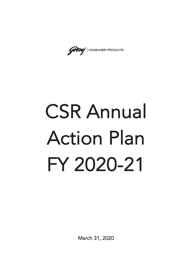Godney | CONSUMER PRODUCTS

## CSR Annual Action Plan FY 2020-21

March 31, 2020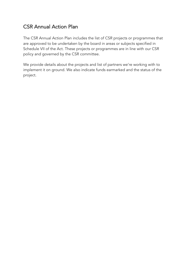## CSR Annual Action Plan

The CSR Annual Action Plan includes the list of CSR projects or programmes that are approved to be undertaken by the board in areas or subjects specified in Schedule VII of the Act. These projects or programmes are in line with our CSR policy and governed by the CSR committee.

We provide details about the projects and list of partners we're working with to implement it on ground. We also indicate funds earmarked and the status of the project.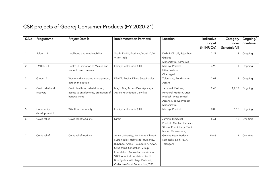## CSR projects of Godrej Consumer Products (FY 2020-21)

| S.No           | Programme        | <b>Project Details</b>               | Implementation Partner(s)              | Location                  | Indicative<br><b>Budget</b> | Category<br>under<br><b>Schedule VII</b> | Ongoing/<br>one-time |
|----------------|------------------|--------------------------------------|----------------------------------------|---------------------------|-----------------------------|------------------------------------------|----------------------|
|                |                  |                                      |                                        |                           | (in INR Crs)                |                                          |                      |
|                | Salon-I - 1      | Livelihood and employability         | Saath, Dhriiti, Pratham, Vrutti, YUVA, | Delhi NCR, UP, Rajasthan, | 2.27                        | 3                                        | Ongoing              |
|                |                  |                                      | Vision India                           | Gujarat,                  |                             |                                          |                      |
|                |                  |                                      |                                        | Maharashtra, Karnataka    |                             |                                          |                      |
| $\overline{2}$ | EMBED - 1        | Health - Elimination of Malaria and  | Family Health India (FHI)              | Madhya Pradesh            | 4.93                        |                                          | Ongoing              |
|                |                  | vector borne diseases                |                                        | <b>Uttar Pradesh</b>      |                             |                                          |                      |
|                |                  |                                      |                                        | Chattisgarh               |                             |                                          |                      |
| 3              | Green - 1        | Waste and watershed management,      | PEACE, Recity, Dharti Sustainables     | Telangana, Pondicherry,   | 2.02                        | 4                                        | Ongoing              |
|                |                  | carbon mitigation                    |                                        | Assam                     |                             |                                          |                      |
| $\overline{4}$ | Covid relief and | Covid livelihood rehabilitation,     | Magic Bus, Access Dev, Apnalaya,       | Jammu & Kashmir,          | 2.45                        | 1, 2, 12                                 | Ongoing              |
|                | recovery 1       | access to entitlements, promotion of | Agrani Foundation, Janvikas            | Himachal Pradesh, Uttar   |                             |                                          |                      |
|                |                  | handwashing                          |                                        | Pradesh, West Bengal,     |                             |                                          |                      |
|                |                  |                                      |                                        | Assam, Madhya Pradesh,    |                             |                                          |                      |
|                |                  |                                      |                                        | Maharashtra               |                             |                                          |                      |
| 5              | Community        | WASH in community                    | Family Health India (FHI)              | Madhya Pradesh            | 0.05                        | 1,10                                     | Ongoing              |
|                | development 1    |                                      |                                        |                           |                             |                                          |                      |
| 6              | Covid relief     | Covid relief food kits               | Direct                                 | Jammu, Himachal           | 8.61                        | 12                                       | One time             |
|                |                  |                                      |                                        | Pradesh, Madhya Pradesh,  |                             |                                          |                      |
|                |                  |                                      |                                        | Sikkim, Pondicherry, Tami |                             |                                          |                      |
|                |                  |                                      |                                        | Nadu, Maharashtra,        |                             |                                          |                      |
| $\overline{7}$ | Covid relief     | Covid relief food kits               | Anant University, Jan Sahas, Dharthi   | Gujarat, Uttar Pradesh,   | 10.43                       | 12                                       | One time             |
|                |                  |                                      | Sustainables, Habitat for Humanity,    | Karnataka, Delhi NCR,     |                             |                                          |                      |
|                |                  |                                      | Rubabbai Ameeji Foundation, YUVA,      | Telengana                 |                             |                                          |                      |
|                |                  |                                      | Stree Mukti Sangathan, Vikalp          |                           |                             |                                          |                      |
|                |                  |                                      | Foundation, Akanksha Foundation,       |                           |                             |                                          |                      |
|                |                  |                                      | STCI, Anudip Foundation, Akhil         |                           |                             |                                          |                      |
|                |                  |                                      | Bhartiya Marathi Natya Parishad,       |                           |                             |                                          |                      |
|                |                  |                                      | Collective Good Foundation, TISS,      |                           |                             |                                          |                      |